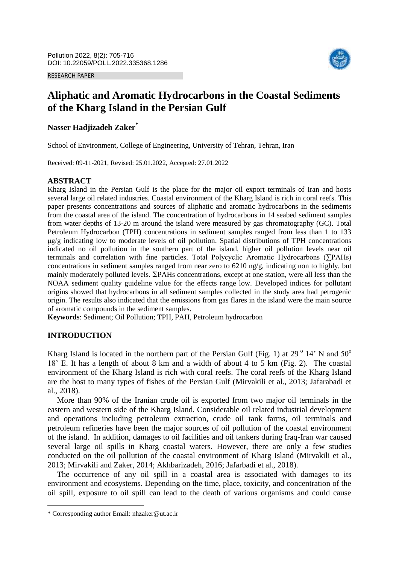RESEARCH PAPER



# **Aliphatic and Aromatic Hydrocarbons in the Coastal Sediments of the Kharg Island in the Persian Gulf**

# **Nasser Hadjizadeh Zaker\***

School of Environment, College of Engineering, University of Tehran, Tehran, Iran

Received: 09-11-2021, Revised: 25.01.2022, Accepted: 27.01.2022

### **ABSTRACT**

Kharg Island in the Persian Gulf is the place for the major oil export terminals of Iran and hosts several large oil related industries. Coastal environment of the Kharg Island is rich in coral reefs. This paper presents concentrations and sources of aliphatic and aromatic hydrocarbons in the sediments from the coastal area of the island. The concentration of hydrocarbons in 14 seabed sediment samples from water depths of 13-20 m around the island were measured by gas chromatography (GC). Total Petroleum Hydrocarbon (TPH) concentrations in sediment samples ranged from less than 1 to 133 μg/g indicating low to moderate levels of oil pollution. Spatial distributions of TPH concentrations indicated no oil pollution in the southern part of the island, higher oil pollution levels near oil terminals and correlation with fine particles. Total Polycyclic Aromatic Hydrocarbons (∑PAHs) concentrations in sediment samples ranged from near zero to 6210 ng/g, indicating non to highly, but mainly moderately polluted levels.  $\Sigma$ PAHs concentrations, except at one station, were all less than the NOAA sediment quality guideline value for the effects range low. Developed indices for pollutant origins showed that hydrocarbons in all sediment samples collected in the study area had petrogenic origin. The results also indicated that the emissions from gas flares in the island were the main source of aromatic compounds in the sediment samples.

**Keywords**: Sediment; Oil Pollution; TPH, PAH, Petroleum hydrocarbon

### **INTRODUCTION**

 $\overline{a}$ 

Kharg Island is located in the northern part of the Persian Gulf (Fig. 1) at 29 $^{\circ}$  14' N and 50 $^{\circ}$ 18' E. It has a length of about 8 km and a width of about 4 to 5 km (Fig. 2). The coastal environment of the Kharg Island is rich with coral reefs. The coral reefs of the Kharg Island are the host to many types of fishes of the Persian Gulf (Mirvakili et al., 2013; Jafarabadi et al., 2018).

More than 90% of the Iranian crude oil is exported from two major oil terminals in the eastern and western side of the Kharg Island. Considerable oil related industrial development and operations including petroleum extraction, crude oil tank farms, oil terminals and petroleum refineries have been the major sources of oil pollution of the coastal environment of the island. In addition, damages to oil facilities and oil tankers during Iraq-Iran war caused several large oil spills in Kharg coastal waters. However, there are only a few studies conducted on the oil pollution of the coastal environment of Kharg Island (Mirvakili et al., 2013; Mirvakili and Zaker, 2014; Akhbarizadeh, 2016; Jafarbadi et al., 2018).

The occurrence of any oil spill in a coastal area is associated with damages to its environment and ecosystems. Depending on the time, place, toxicity, and concentration of the oil spill, exposure to oil spill can lead to the death of various organisms and could cause

<sup>\*</sup> Corresponding author Email: nhzaker@ut.ac.ir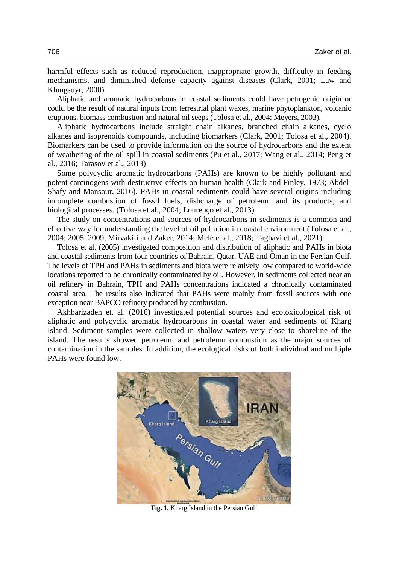harmful effects such as reduced reproduction, inappropriate growth, difficulty in feeding mechanisms, and diminished defense capacity against diseases (Clark, 2001; Law and Klungsoyr, 2000).

Aliphatic and aromatic hydrocarbons in coastal sediments could have petrogenic origin or could be the result of natural inputs from terrestrial plant waxes, marine phytoplankton, volcanic eruptions, biomass combustion and natural oil seeps (Tolosa et al., 2004; Meyers, 2003).

Aliphatic hydrocarbons include straight chain alkanes, branched chain alkanes, cyclo alkanes and isoprenoids compounds, including biomarkers (Clark, 2001; Tolosa et al., 2004). Biomarkers can be used to provide information on the source of hydrocarbons and the extent of weathering of the oil spill in coastal sediments (Pu et al., 2017; Wang et al., 2014; Peng et al., 2016; Tarasov et al., 2013)

Some polycyclic aromatic hydrocarbons (PAHs) are known to be highly pollutant and potent carcinogens with destructive effects on human health (Clark and Finley, 1973; Abdel-Shafy and Mansour, 2016). PAHs in coastal sediments could have several origins including incomplete combustion of fossil fuels, dishcharge of petroleum and its products, and biological processes. (Tolosa et al., 2004; Lourenço et al., 2013).

The study on concentrations and sources of hydrocarbons in sediments is a common and effective way for understanding the level of oil pollution in coastal environment (Tolosa et al., 2004; 2005, 2009, Mirvakili and Zaker, 2014; Melé et al., 2018; Taghavi et al., 2021).

Tolosa et al. (2005) investigated composition and distribution of aliphatic and PAHs in biota and coastal sediments from four countries of Bahrain, Qatar, UAE and Oman in the Persian Gulf. The levels of TPH and PAHs in sediments and biota were relatively low compared to world-wide locations reported to be chronically contaminated by oil. However, in sediments collected near an oil refinery in Bahrain, TPH and PAHs concentrations indicated a chronically contaminated coastal area. The results also indicated that PAHs were mainly from fossil sources with one exception near BAPCO refinery produced by combustion.

Akhbarizadeh et. al. (2016) investigated potential sources and ecotoxicological risk of aliphatic and polycyclic aromatic hydrocarbons in coastal water and sediments of Kharg Island. Sediment samples were collected in shallow waters very close to shoreline of the island. The results showed petroleum and petroleum combustion as the major sources of contamination in the samples. In addition, the ecological risks of both individual and multiple PAHs were found low.



**Fig. 1.** Kharg Island in the Persian Gulf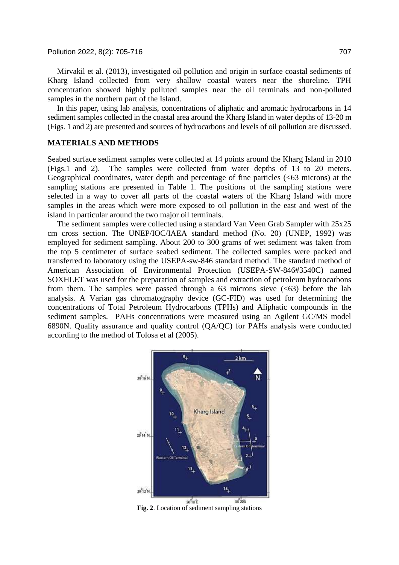Mirvakil et al. (2013), investigated oil pollution and origin in surface coastal sediments of Kharg Island collected from very shallow coastal waters near the shoreline. TPH concentration showed highly polluted samples near the oil terminals and non-polluted samples in the northern part of the Island.

In this paper, using lab analysis, concentrations of aliphatic and aromatic hydrocarbons in 14 sediment samples collected in the coastal area around the Kharg Island in water depths of 13-20 m (Figs. 1 and 2) are presented and sources of hydrocarbons and levels of oil pollution are discussed.

#### **MATERIALS AND METHODS**

Seabed surface sediment samples were collected at 14 points around the Kharg Island in 2010 (Figs.1 and 2). The samples were collected from water depths of 13 to 20 meters. Geographical coordinates, water depth and percentage of fine particles (<63 microns) at the sampling stations are presented in Table 1. The positions of the sampling stations were selected in a way to cover all parts of the coastal waters of the Kharg Island with more samples in the areas which were more exposed to oil pollution in the east and west of the island in particular around the two major oil terminals.

The sediment samples were collected using a standard Van Veen Grab Sampler with 25x25 cm cross section. The UNEP/IOC/IAEA standard method (No. 20) (UNEP, 1992) was employed for sediment sampling. About 200 to 300 grams of wet sediment was taken from the top 5 centimeter of surface seabed sediment. The collected samples were packed and transferred to laboratory using the USEPA-sw-846 standard method. The standard method of American Association of Environmental Protection (USEPA-SW-846#3540C) named SOXHLET was used for the preparation of samples and extraction of petroleum hydrocarbons from them. The samples were passed through a  $63$  microns sieve  $( $63$ )$  before the lab analysis. A Varian gas chromatography device (GC-FID) was used for determining the concentrations of Total Petroleum Hydrocarbons (TPHs) and Aliphatic compounds in the sediment samples. PAHs concentrations were measured using an Agilent GC/MS model 6890N. Quality assurance and quality control (QA/QC) for PAHs analysis were conducted according to the method of Tolosa et al (2005).



**Fig. 2**. Location of sediment sampling stations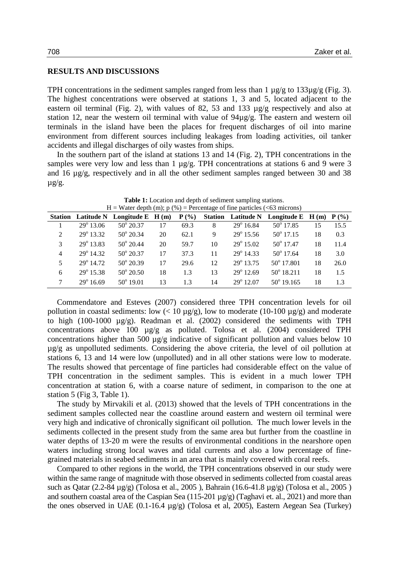#### **RESULTS AND DISCUSSIONS**

TPH concentrations in the sediment samples ranged from less than  $1 \mu g/g$  to  $133 \mu g/g$  (Fig. 3). The highest concentrations were observed at stations 1, 3 and 5, located adjacent to the eastern oil terminal (Fig. 2), with values of 82, 53 and 133 µg/g respectively and also at station 12, near the western oil terminal with value of 94µg/g. The eastern and western oil terminals in the island have been the places for frequent discharges of oil into marine environment from different sources including leakages from loading activities, oil tanker accidents and illegal discharges of oily wastes from ships.

In the southern part of the island at stations 13 and 14 (Fig. 2), TPH concentrations in the samples were very low and less than 1  $\mu$ g/g. TPH concentrations at stations 6 and 9 were 3 and 16 µg/g, respectively and in all the other sediment samples ranged between 30 and 38  $\mu$ g/g.

| $11 - w$ are upon (iii), $p(y) - r$ encemage of the particles ( $\leq 0.5$ incredibility) |                    |                                      |    |         |    |                       |                                               |    |      |  |
|-------------------------------------------------------------------------------------------|--------------------|--------------------------------------|----|---------|----|-----------------------|-----------------------------------------------|----|------|--|
|                                                                                           |                    | Station Latitude N Longitude E H (m) |    | $P(\%)$ |    |                       | Station Latitude N Longitude E $H(m)$ $P(\%)$ |    |      |  |
|                                                                                           | $29^{\circ}$ 13.06 | $50^{\circ} 20.37$                   | 17 | 69.3    | 8  | $29^{\circ}$ 16.84    | $50^{\circ}$ 17.85                            | 15 | 15.5 |  |
| $\mathcal{L}$                                                                             | 29° 13.32          | $50^{\circ}$ 20.34                   | 20 | 62.1    | 9  | $29^{\circ}$ 15.56    | $50^{\circ}$ 17.15                            | 18 | 0.3  |  |
| $\mathcal{F}$                                                                             | $29^{\circ}$ 13.83 | $50^{\circ}$ 20.44                   | 20 | 59.7    | 10 | $29^{\circ}$ 15.02    | $50^{\circ}$ 17.47                            | 18 | 11.4 |  |
| $\overline{4}$                                                                            | $29^{\circ}$ 14.32 | $50^{\circ} 20.37$                   | 17 | 37.3    | 11 | $29^{\circ}$ 14.33    | $50^{\circ}$ 17.64                            | 18 | 3.0  |  |
| $\overline{\mathbf{5}}$                                                                   | $29^{\circ}$ 14.72 | $50^{\circ} 20.39$                   | 17 | 29.6    | 12 | 29 <sup>°</sup> 13.75 | 50° 17.801                                    | 18 | 26.0 |  |
| 6                                                                                         | $29^{\circ}$ 15.38 | $50^{\circ} 20.50$                   | 18 | 1.3     | 13 | $29^{\circ}$ 12.69    | $50^{\circ}$ 18.211                           | 18 | 1.5  |  |
| 7                                                                                         | $29^{\circ}$ 16.69 | $50^{\circ}$ 19.01                   | 13 | 1.3     | 14 | $29^{\circ}$ 12.07    | $50^{\circ}$ 19.165                           | 18 | 1.3  |  |

**Table 1:** Location and depth of sediment sampling stations.  $H = W_{\text{other}}$  depth  $(m)$ ; p  $(0) = \text{Dergantence}$  of fine particles (<63 microns)

Commendatore and Esteves (2007) considered three TPH concentration levels for oil pollution in coastal sediments: low  $\left($  < 10  $\mu$ g/g), low to moderate (10-100  $\mu$ g/g) and moderate to high (100-1000  $\mu$ g/g). Readman et al. (2002) considered the sediments with TPH concentrations above 100 µg/g as polluted. Tolosa et al. (2004) considered TPH concentrations higher than 500 µg/g indicative of significant pollution and values below 10 µg/g as unpolluted sediments. Considering the above criteria, the level of oil pollution at stations 6, 13 and 14 were low (unpolluted) and in all other stations were low to moderate. The results showed that percentage of fine particles had considerable effect on the value of TPH concentration in the sediment samples. This is evident in a much lower TPH concentration at station 6, with a coarse nature of sediment, in comparison to the one at station 5 (Fig 3, Table 1).

The study by Mirvakili et al. (2013) showed that the levels of TPH concentrations in the sediment samples collected near the coastline around eastern and western oil terminal were very high and indicative of chronically significant oil pollution. The much lower levels in the sediments collected in the present study from the same area but further from the coastline in water depths of 13-20 m were the results of environmental conditions in the nearshore open waters including strong local waves and tidal currents and also a low percentage of finegrained materials in seabed sediments in an area that is mainly covered with coral reefs.

Compared to other regions in the world, the TPH concentrations observed in our study were within the same range of magnitude with those observed in sediments collected from coastal areas such as Qatar (2.2-84 µg/g) (Tolosa et al., 2005 ), Bahrain (16.6-41.8 µg/g) (Tolosa et al., 2005 ) and southern coastal area of the Caspian Sea (115-201 µg/g) (Taghavi et. al., 2021) and more than the ones observed in UAE (0.1-16.4 µg/g) (Tolosa et al, 2005), Eastern Aegean Sea (Turkey)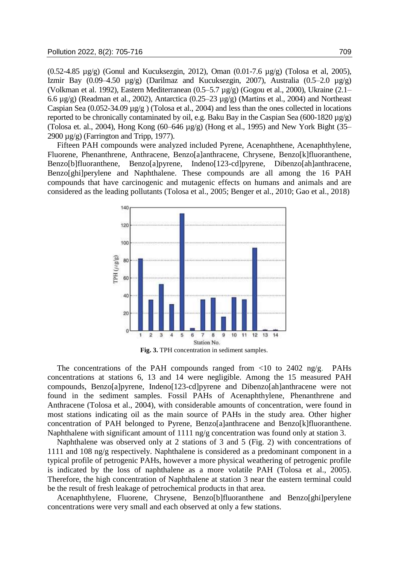(0.52-4.85 µg/g) (Gonul and Kucuksezgin, 2012), Oman (0.01-7.6 µg/g) (Tolosa et al, 2005), Izmir Bay  $(0.09-4.50 \text{ µg/g})$  (Darilmaz and Kucuksezgin, 2007), Australia  $(0.5-2.0 \text{ µg/g})$ (Volkman et al. 1992), Eastern Mediterranean (0.5–5.7 µg/g) (Gogou et al., 2000), Ukraine (2.1– 6.6 µg/g) (Readman et al., 2002), Antarctica (0.25–23 µg/g) (Martins et al., 2004) and Northeast Caspian Sea (0.052-34.09 µg/g ) (Tolosa et al., 2004) and less than the ones collected in locations reported to be chronically contaminated by oil, e.g. Baku Bay in the Caspian Sea (600-1820 µg/g) (Tolosa et. al., 2004), Hong Kong (60–646 µg/g) (Hong et al., 1995) and New York Bight (35– 2900  $\mu$ g/g) (Farrington and Tripp, 1977).

Fifteen PAH compounds were analyzed included Pyrene, Acenaphthene, Acenaphthylene, Fluorene, Phenanthrene, Anthracene, Benzo[a]anthracene, Chrysene, Benzo[k]fluoranthene, Benzo[b]fluoranthene, Benzo[a]pyrene, Indeno[123-cd]pyrene, Dibenzo[ah]anthracene, Benzo[ghi]perylene and Naphthalene. These compounds are all among the 16 PAH compounds that have carcinogenic and mutagenic effects on humans and animals and are considered as the leading pollutants (Tolosa et al., 2005; Benger et al., 2010; Gao et al., 2018)



The concentrations of the PAH compounds ranged from  $\langle 10 \rangle$  to 2402 ng/g. PAHs concentrations at stations 6, 13 and 14 were negligible. Among the 15 measured PAH compounds, Benzo[a]pyrene, Indeno[123-cd]pyrene and Dibenzo[ah]anthracene were not found in the sediment samples. Fossil PAHs of Acenaphthylene, Phenanthrene and Anthracene (Tolosa et al., 2004), with considerable amounts of concentration, were found in most stations indicating oil as the main source of PAHs in the study area. Other higher concentration of PAH belonged to Pyrene, Benzo[a]anthracene and Benzo[k]fluoranthene. Naphthalene with significant amount of 1111 ng/g concentration was found only at station 3.

Naphthalene was observed only at 2 stations of 3 and 5 (Fig. 2) with concentrations of 1111 and 108 ng/g respectively. Naphthalene is considered as a predominant component in a typical profile of petrogenic PAHs, however a more physical weathering of petrogenic profile is indicated by the loss of naphthalene as a more volatile PAH (Tolosa et al., 2005). Therefore, the high concentration of Naphthalene at station 3 near the eastern terminal could be the result of fresh leakage of petrochemical products in that area.

Acenaphthylene, Fluorene, Chrysene, Benzo[b]fluoranthene and Benzo[ghi]perylene concentrations were very small and each observed at only a few stations.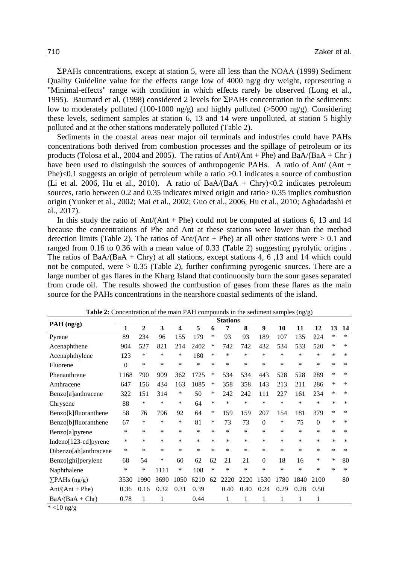$\Sigma$ PAHs concentrations, except at station 5, were all less than the NOAA (1999) Sediment Quality Guideline value for the effects range low of 4000 ng/g dry weight, representing a "Minimal-effects" range with condition in which effects rarely be observed (Long et al., 1995). Baumard et al. (1998) considered 2 levels for  $\Sigma$ PAHs concentration in the sediments: low to moderately polluted (100-1000 ng/g) and highly polluted (>5000 ng/g). Considering these levels, sediment samples at station 6, 13 and 14 were unpolluted, at station 5 highly polluted and at the other stations moderately polluted (Table 2).

Sediments in the coastal areas near major oil terminals and industries could have PAHs concentrations both derived from combustion processes and the spillage of petroleum or its products (Tolosa et al., 2004 and 2005). The ratios of Ant/(Ant + Phe) and BaA/(BaA + Chr ) have been used to distinguish the sources of anthropogenic PAHs. A ratio of Ant/ (Ant + Phe)<0.1 suggests an origin of petroleum while a ratio >0.1 indicates a source of combustion (Li et al. 2006, Hu et al., 2010). A ratio of  $BaA/(BaA + Chry) < 0.2$  indicates petroleum sources, ratio between 0.2 and 0.35 indicates mixed origin and ratio> 0.35 implies combustion origin (Yunker et al., 2002; Mai et al., 2002; Guo et al., 2006, Hu et al., 2010; Aghadadashi et al., 2017).

In this study the ratio of  $\text{Ant}/(\text{Ant} + \text{Phe})$  could not be computed at stations 6, 13 and 14 because the concentrations of Phe and Ant at these stations were lower than the method detection limits (Table 2). The ratios of  $Ant/(Ant + Phe)$  at all other stations were  $> 0.1$  and ranged from 0.16 to 0.36 with a mean value of 0.33 (Table 2) suggesting pyrolytic origins . The ratios of BaA/(BaA + Chry) at all stations, except stations 4, 6, 13 and 14 which could not be computed, were  $> 0.35$  (Table 2), further confirming pyrogenic sources. There are a large number of gas flares in the Kharg Island that continuously burn the sour gases separated from crude oil. The results showed the combustion of gases from these flares as the main source for the PAHs concentrations in the nearshore coastal sediments of the island.

|                       | <b>Stations</b> |                |      |                         |        |        |        |        |          |        |        |              |        |        |
|-----------------------|-----------------|----------------|------|-------------------------|--------|--------|--------|--------|----------|--------|--------|--------------|--------|--------|
| PAH (ng/g)            | 1               | $\overline{2}$ | 3    | $\overline{\mathbf{4}}$ | 5      | 6      | 7      | 8      | 9        | 10     | 11     | 12           | 13     | 14     |
| Pyrene                | 89              | 234            | 96   | 155                     | 179    | *      | 93     | 93     | 189      | 107    | 135    | 224          | *      | *      |
| Acenaphthene          | 904             | 527            | 821  | 214                     | 2402   | ∗      | 742    | 742    | 432      | 534    | 533    | 520          | *      | $\ast$ |
| Acenaphthylene        | 123             | *              | *    | *                       | 180    | *      | *      | ∗      | *        | *      | *      | *            | *      | $\ast$ |
| Fluorene              | $\theta$        | *              | *    | *                       | $\ast$ | *      | $\ast$ | $\ast$ | *        | $\ast$ | *      | $\ast$       | *      | $\ast$ |
| Phenanthrene          | 1168            | 790            | 909  | 362                     | 1725   | ∗      | 534    | 534    | 443      | 528    | 528    | 289          | *      | $\ast$ |
| Anthracene            | 647             | 156            | 434  | 163                     | 1085   | *      | 358    | 358    | 143      | 213    | 211    | 286          | *      | *      |
| Benzo[a]anthracene    | 322             | 151            | 314  | ∗                       | 50     | ∗      | 242    | 242    | 111      | 227    | 161    | 234          | *      | $\ast$ |
| Chrysene              | 88              | *              | *    | *                       | 64     | *      | $\ast$ | $\ast$ | $\ast$   | $\ast$ | *      | $\ast$       | *      | *      |
| Benzo[k]fluoranthene  | 58              | 76             | 796  | 92                      | 64     | ∗      | 159    | 159    | 207      | 154    | 181    | 379          | *      | *      |
| Benzo[b]fluoranthene  | 67              | *              | *    | ∗                       | 81     | *      | 73     | 73     | 0        | *      | 75     | $\theta$     | *      | *      |
| Benzo[a]pyrene        | *               | *              | *    | *                       | $\ast$ | $\ast$ | $\ast$ | *      | *        | $\ast$ | *      | $\ast$       | $\ast$ | $\ast$ |
| Indeno[123-cd]pyrene  | *               | *              | *    | *                       | $\ast$ | *      | *      | ∗      | *        | $\ast$ | *      | *            | *      | $\ast$ |
| Dibenzo[ah]anthracene | $\ast$          | *              | *    | $\ast$                  | $\ast$ | $\ast$ | $\ast$ | $\ast$ | *        | $\ast$ | $\ast$ | $\ast$       | $\ast$ | $\ast$ |
| Benzo[ghi]perylene    | 68              | 54             | ∗    | 60                      | 62     | 62     | 21     | 21     | $\theta$ | 18     | 16     | *            | *      | 80     |
| Naphthalene           | *               | *              | 1111 | ∗                       | 108    | *      | $\ast$ | $\ast$ | $\ast$   | $\ast$ | $\ast$ | $\ast$       | $\ast$ | $\ast$ |
| $\sum$ PAHs (ng/g)    | 3530            | 1990           | 3690 | 1050                    | 6210   | 62     | 2220   | 2220   | 1530     | 1780   | 1840   | 2100         |        | 80     |
| $Ant/(Ant + Phe)$     | 0.36            | 0.16           | 0.32 | 0.31                    | 0.39   |        | 0.40   | 0.40   | 0.24     | 0.29   | 0.28   | 0.50         |        |        |
| $BaA/(BaA + Chr)$     | 0.78            | 1              | 1    |                         | 0.44   |        | 1      | 1      | 1        | 1      | 1      | $\mathbf{1}$ |        |        |

**Table 2:** Concentration of the main PAH compounds in the sediment samples (ng/g)

 $*$  <10 ng/g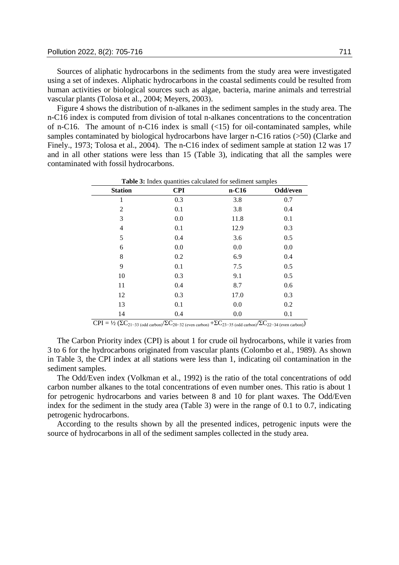Sources of aliphatic hydrocarbons in the sediments from the study area were investigated using a set of indexes. Aliphatic hydrocarbons in the coastal sediments could be resulted from human activities or biological sources such as algae, bacteria, marine animals and terrestrial vascular plants (Tolosa et al., 2004; Meyers, 2003).

Figure 4 shows the distribution of n-alkanes in the sediment samples in the study area. The n-C16 index is computed from division of total n-alkanes concentrations to the concentration of n-C16. The amount of n-C16 index is small  $(\langle 15 \rangle)$  for oil-contaminated samples, while samples contaminated by biological hydrocarbons have larger n-C16 ratios (>50) (Clarke and Finely., 1973; Tolosa et al., 2004). The n-C16 index of sediment sample at station 12 was 17 and in all other stations were less than 15 (Table 3), indicating that all the samples were contaminated with fossil hydrocarbons.

|                |            | Table 3: Index quantities calculated for sediment samples |          |
|----------------|------------|-----------------------------------------------------------|----------|
| <b>Station</b> | <b>CPI</b> | $n-C16$                                                   | Odd/even |
| 1              | 0.3        | 3.8                                                       | 0.7      |
| $\overline{c}$ | 0.1        | 3.8                                                       | 0.4      |
| 3              | 0.0        | 11.8                                                      | 0.1      |
| $\overline{4}$ | 0.1        | 12.9                                                      | 0.3      |
| 5              | 0.4        | 3.6                                                       | 0.5      |
| 6              | 0.0        | 0.0                                                       | 0.0      |
| 8              | 0.2        | 6.9                                                       | 0.4      |
| 9              | 0.1        | 7.5                                                       | 0.5      |
| 10             | 0.3        | 9.1                                                       | 0.5      |
| 11             | 0.4        | 8.7                                                       | 0.6      |
| 12             | 0.3        | 17.0                                                      | 0.3      |
| 13             | 0.1        | 0.0                                                       | 0.2      |
| 14             | 0.4        | 0.0                                                       | 0.1      |
|                |            |                                                           |          |

 $CPI = \frac{1}{2} (\Sigma C_{21-33 \text{ (odd carbon)}} / \Sigma C_{20-32 \text{ (even carbon)}} + \Sigma C_{23-35 \text{ (odd carbon)}} / \Sigma C_{22-34 \text{ (even carbon)}})$ 

The Carbon Priority index (CPI) is about 1 for crude oil hydrocarbons, while it varies from 3 to 6 for the hydrocarbons originated from vascular plants (Colombo et al., 1989). As shown in Table 3, the CPI index at all stations were less than 1, indicating oil contamination in the sediment samples.

The Odd/Even index (Volkman et al., 1992) is the ratio of the total concentrations of odd carbon number alkanes to the total concentrations of even number ones. This ratio is about 1 for petrogenic hydrocarbons and varies between 8 and 10 for plant waxes. The Odd/Even index for the sediment in the study area (Table 3) were in the range of 0.1 to 0.7, indicating petrogenic hydrocarbons.

According to the results shown by all the presented indices, petrogenic inputs were the source of hydrocarbons in all of the sediment samples collected in the study area.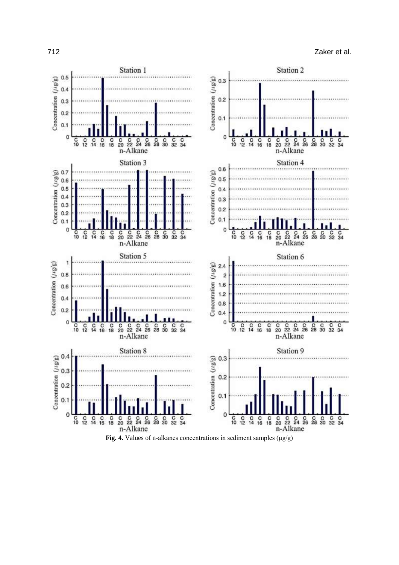

**Fig. 4.** Values of n-alkanes concentrations in sediment samples (μg/g)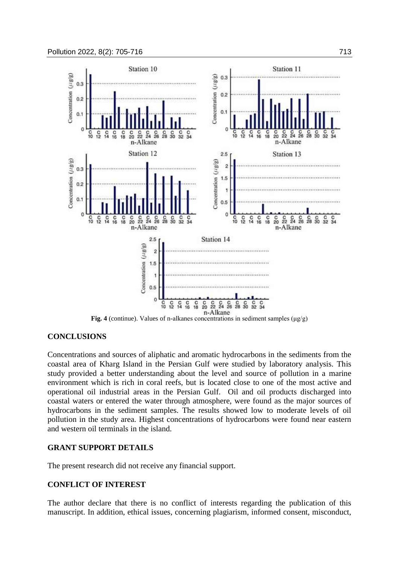

**Fig. 4** (continue). Values of n-alkanes concentrations in sediment samples (μg/g)

### **CONCLUSIONS**

Concentrations and sources of aliphatic and aromatic hydrocarbons in the sediments from the coastal area of Kharg Island in the Persian Gulf were studied by laboratory analysis. This study provided a better understanding about the level and source of pollution in a marine environment which is rich in coral reefs, but is located close to one of the most active and operational oil industrial areas in the Persian Gulf. Oil and oil products discharged into coastal waters or entered the water through atmosphere, were found as the major sources of hydrocarbons in the sediment samples. The results showed low to moderate levels of oil pollution in the study area. Highest concentrations of hydrocarbons were found near eastern and western oil terminals in the island.

# **GRANT SUPPORT DETAILS**

The present research did not receive any financial support.

# **CONFLICT OF INTEREST**

The author declare that there is no conflict of interests regarding the publication of this manuscript. In addition, ethical issues, concerning plagiarism, informed consent, misconduct,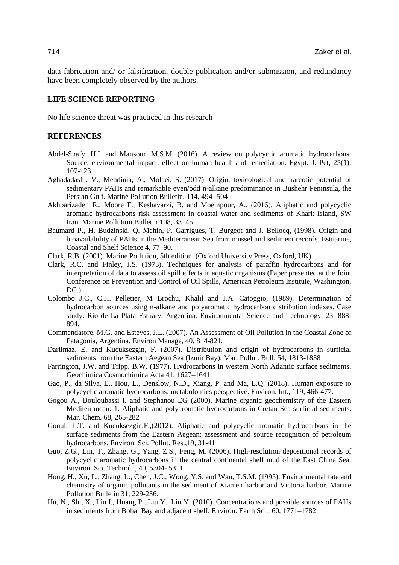data fabrication and/ or falsification, double publication and/or submission, and redundancy have been completely observed by the authors.

#### **LIFE SCIENCE REPORTING**

No life science threat was practiced in this research

#### **REFERENCES**

- Abdel-Shafy, H.I. and Mansour, M.S.M. (2016). A review on polycyclic aromatic hydrocarbons: Source, environmental impact, effect on human health and remediation. Egypt. J. Pet, 25(1), 107-123.
- Aghadadashi, V., Mehdinia, A., Molaei, S. (2017). Origin, toxicological and narcotic potential of sedimentary PAHs and remarkable even/odd n-alkane predominance in Bushehr Peninsula, the Persian Gulf. Marine Pollution Bulletin, 114, 494 -504
- Akhbarizadeh R., Moore F., Keshavarzi, B. and Moeinpour, A., (2016). Aliphatic and polycyclic aromatic hydrocarbons risk assessment in coastal water and sediments of Khark Island, SW Iran. Marine Pollution Bulletin 108, 33–45
- Baumard P., H. Budzinski, Q. Mchin, P. Garrigues, T. Burgeot and J. Bellocq, (1998). Origin and bioavailability of PAHs in the Mediterranean Sea from mussel and sediment records. Estuarine, Coastal and Shelf Science 4, 77–90.
- Clark, R.B. (2001). Marine Pollution, 5th edition. (Oxford University Press, Oxford, UK)
- Clark, R.C. and Finley, J.S. (1973). Techniques for analysis of paraffin hydrocarbons and for interpretation of data to assess oil spill effects in aquatic organisms (Paper presented at the Joint Conference on Prevention and Control of Oil Spills, American Petroleum Institute, Washington, DC.)
- Colombo J.C., C.H. Pelletier, M Brochu, Khalil and J.A. Catoggio, (1989). Determination of hydrocarbon sources using n-alkane and polyaromatic hydrocarbon distribution indexes. Case study: Rio de La Plata Estuary, Argentina. Environmental Science and Technology, 23, 888- 894.
- Commendatore, M.G. and Esteves, J.L. (2007). An Assessment of Oil Pollution in the Coastal Zone of Patagonia, Argentina. Environ Manage, 40, 814-821.
- Darilmaz, E. and Kucuksezgin, F. (2007). Distribution and origin of hydrocarbons in surficial sediments from the Eastern Aegean Sea (Izmir Bay). Mar. Pollut. Bull. 54, 1813-1838
- Farrington, J.W. and Tripp, B.W. (1977). Hydrocarbons in western North Atlantic surface sediments. Geochimica Cosmochimica Acta 41, 1627–1641.
- Gao, P., da Silva, E., Hou, L., Denslow, N.D., Xiang, P. and Ma, L.Q. (2018). Human exposure to polycyclic aromatic hydrocarbons: metabolomics perspective. Environ. Int., 119, 466-477.
- Gogou A., Bouloubassi I. and Stephanou EG (2000). Marine organic geochemistry of the Eastern Mediterranean: 1. Aliphatic and polyaromatic hydrocarbons in Cretan Sea surficial sediments. Mar. Chem. 68, 265-282
- Gonul, L.T. and Kucuksezgin,F.,(2012). Aliphatic and polycyclic aromatic hydrocarbons in the surface sediments from the Eastern Aegean: assessment and source recognition of petroleum hydrocarbons. Environ. Sci. Pollut. Res.,19, 31-41
- Guo, Z.G., Lin, T., Zhang, G., Yang, Z.S., Feng, M. (2006). High-resolution depositional records of polycyclic aromatic hydrocarbons in the central continental shelf mud of the East China Sea. Environ. Sci. Technol. , 40, 5304- 5311
- Hong, H., Xu, L., Zhang, L., Chen, J.C., Wong, Y.S. and Wan, T.S.M. (1995). Environmental fate and chemistry of organic pollutants in the sediment of Xiamen harbor and Victoria harbor. Marine Pollution Bulletin 31, 229-236.
- Hu, N., Shi, X., Liu I., Huang P., Liu Y., Liu Y. (2010). Concentrations and possible sources of PAHs in sediments from Bohai Bay and adjacent shelf. Environ. Earth Sci., 60, 1771–1782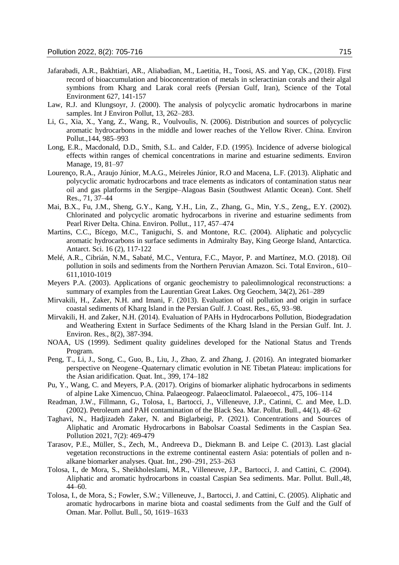- Jafarabadi, A.R., Bakhtiari, AR., Aliabadian, M., Laetitia, H., Toosi, AS. and Yap, CK., (2018). First record of bioaccumulation and bioconcentration of metals in scleractinian corals and their algal symbions from Kharg and Larak coral reefs (Persian Gulf, Iran), Science of the Total Environment 627, 141-157
- Law, R.J. and Klungsoyr, J. (2000). The analysis of polycyclic aromatic hydrocarbons in marine samples. Int J Environ Pollut, 13, 262–283.
- Li, G., Xia, X., Yang, Z., Wang, R., Voulvoulis, N. (2006). Distribution and sources of polycyclic aromatic hydrocarbons in the middle and lower reaches of the Yellow River. China. Environ Pollut.,144, 985–993
- Long, E.R., Macdonald, D.D., Smith, S.L. and Calder, F.D. (1995). Incidence of adverse biological effects within ranges of chemical concentrations in marine and estuarine sediments. Environ Manage, 19, 81–97
- Lourenço, R.A., Araujo Júnior, M.A.G., Meireles Júnior, R.O and Macena, L.F. (2013). Aliphatic and polycyclic aromatic hydrocarbons and trace elements as indicators of contamination status near oil and gas platforms in the Sergipe–Alagoas Basin (Southwest Atlantic Ocean). Cont. Shelf Res., 71, 37–44
- Mai, B.X., Fu, J.M., Sheng, G.Y., Kang, Y.H., Lin, Z., Zhang, G., Min, Y.S., Zeng,, E.Y. (2002). Chlorinated and polycyclic aromatic hydrocarbons in riverine and estuarine sediments from Pearl River Delta. China. Environ. Pollut., 117, 457–474
- Martins, C.C., Bícego, M.C., Taniguchi, S. and Montone, R.C. (2004). Aliphatic and polycyclic aromatic hydrocarbons in surface sediments in Admiralty Bay, King George Island, Antarctica. Antarct. Sci. 16 (2), 117-122
- Melé, A.R., Cibrián, N.M., Sabaté, M.C., Ventura, F.C., Mayor, P. and Martínez, M.O. (2018). Oil pollution in soils and sediments from the Northern Peruvian Amazon. Sci. Total Environ., 610– 611,1010-1019
- Meyers P.A. (2003). Applications of organic geochemistry to paleolimnological reconstructions: a summary of examples from the Laurentian Great Lakes. Org Geochem, 34(2), 261–289
- Mirvakili, H., Zaker, N.H. and Imani, F. (2013). Evaluation of oil pollution and origin in surface coastal sediments of Kharg Island in the Persian Gulf. J. Coast. Res., 65, 93–98.
- Mirvakili, H. and Zaker, N.H. (2014). Evaluation of PAHs in Hydrocarbons Pollution, Biodegradation and Weathering Extent in Surface Sediments of the Kharg Island in the Persian Gulf. Int. J. Environ. Res., 8(2), 387-394.
- NOAA, US (1999). Sediment quality guidelines developed for the National Status and Trends Program.
- Peng, T., Li, J., Song, C., Guo, B., Liu, J., Zhao, Z. and Zhang, J. (2016). An integrated biomarker perspective on Neogene–Quaternary climatic evolution in NE Tibetan Plateau: implications for the Asian aridification. Quat. Int., 399, 174–182
- Pu, Y., Wang, C. and Meyers, P.A. (2017). Origins of biomarker aliphatic hydrocarbons in sediments of alpine Lake Ximencuo, China. Palaeogeogr. Palaeoclimatol. Palaeoecol., 475, 106–114
- Readman, J.W., Fillmann, G., Tolosa, I., Bartocci, J., Villeneuve, J.P., Catinni, C. and Mee, L.D. (2002). Petroleum and PAH contamination of the Black Sea. Mar. Pollut. Bull., 44(1), 48–62
- Taghavi, N., Hadjizadeh Zaker, N. and Biglarbeigi, P. (2021). Concentrations and Sources of Aliphatic and Aromatic Hydrocarbons in Babolsar Coastal Sediments in the Caspian Sea. Pollution 2021, 7(2): 469-479
- Tarasov, P.E., Müller, S., Zech, M., Andreeva D., Diekmann B. and Leipe C. (2013). Last glacial vegetation reconstructions in the extreme continental eastern Asia: potentials of pollen and nalkane biomarker analyses. Quat. Int., 290–291, 253–263
- Tolosa, I., de Mora, S., Sheikholeslami, M.R., Villeneuve, J.P., Bartocci, J. and Cattini, C. (2004). Aliphatic and aromatic hydrocarbons in coastal Caspian Sea sediments. Mar. Pollut. Bull.,48, 44–60.
- Tolosa, I., de Mora, S.; Fowler, S.W.; Villeneuve, J., Bartocci, J. and Cattini, C. (2005). Aliphatic and aromatic hydrocarbons in marine biota and coastal sediments from the Gulf and the Gulf of Oman. Mar. Pollut. Bull., 50, 1619–1633